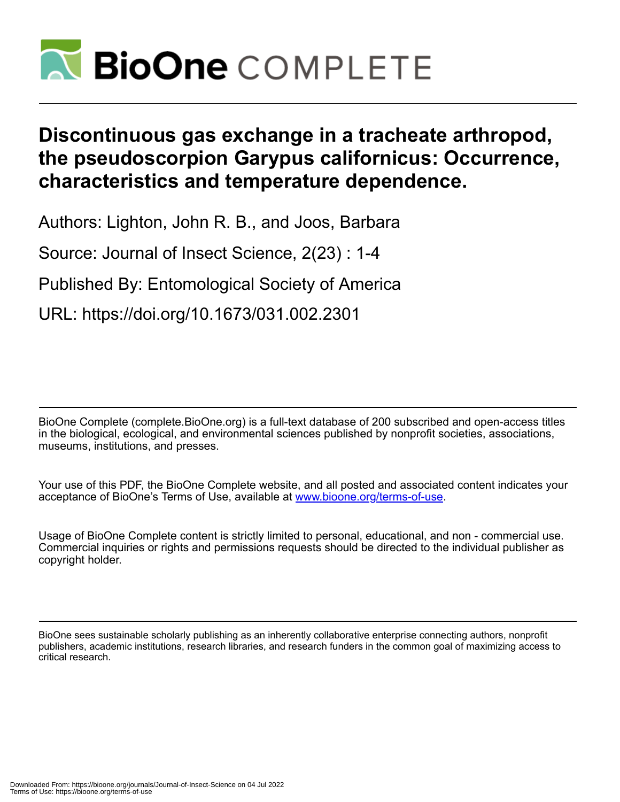

# **Discontinuous gas exchange in a tracheate arthropod, the pseudoscorpion Garypus californicus: Occurrence, characteristics and temperature dependence.**

Authors: Lighton, John R. B., and Joos, Barbara

Source: Journal of Insect Science, 2(23) : 1-4

Published By: Entomological Society of America

URL: https://doi.org/10.1673/031.002.2301

BioOne Complete (complete.BioOne.org) is a full-text database of 200 subscribed and open-access titles in the biological, ecological, and environmental sciences published by nonprofit societies, associations, museums, institutions, and presses.

Your use of this PDF, the BioOne Complete website, and all posted and associated content indicates your acceptance of BioOne's Terms of Use, available at www.bioone.org/terms-of-use.

Usage of BioOne Complete content is strictly limited to personal, educational, and non - commercial use. Commercial inquiries or rights and permissions requests should be directed to the individual publisher as copyright holder.

BioOne sees sustainable scholarly publishing as an inherently collaborative enterprise connecting authors, nonprofit publishers, academic institutions, research libraries, and research funders in the common goal of maximizing access to critical research.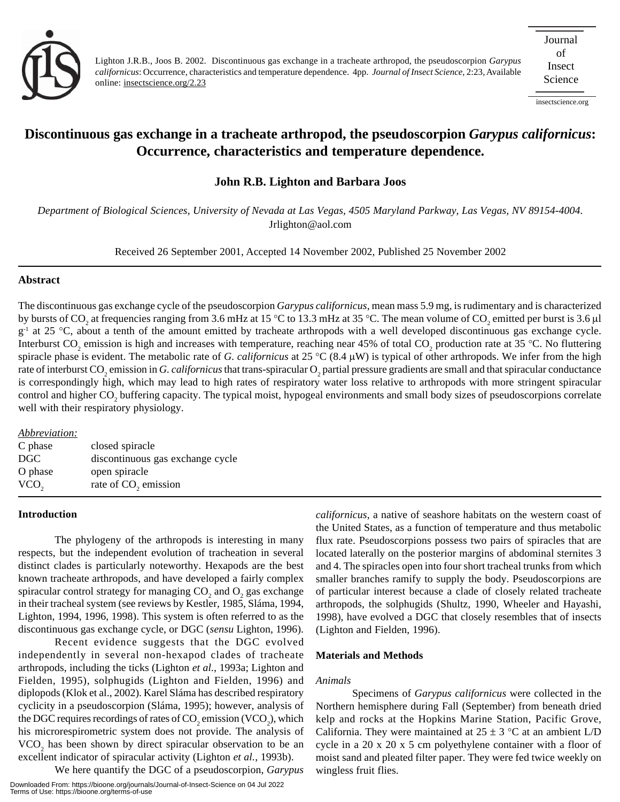

Lighton J.R.B., Joos B. 2002. Discontinuous gas exchange in a tracheate arthropod, the pseudoscorpion *Garypus californicus*: Occurrence, characteristics and temperature dependence. 4pp. *Journal of Insect Science*, 2:23, Available online: insectscience.org/2.23

insectscience.org

# **Discontinuous gas exchange in a tracheate arthropod, the pseudoscorpion** *Garypus californicus***: Occurrence, characteristics and temperature dependence.**

# **John R.B. Lighton and Barbara Joos**

*Department of Biological Sciences, University of Nevada at Las Vegas, 4505 Maryland Parkway, Las Vegas, NV 89154-4004.* Jrlighton@aol.com

Received 26 September 2001, Accepted 14 November 2002, Published 25 November 2002

## **Abstract**

The discontinuous gas exchange cycle of the pseudoscorpion *Garypus californicus*, mean mass 5.9 mg, is rudimentary and is characterized by bursts of CO<sub>2</sub> at frequencies ranging from 3.6 mHz at 15 °C to 13.3 mHz at 35 °C. The mean volume of CO<sub>2</sub> emitted per burst is 3.6 µl g<sup>-1</sup> at 25 °C, about a tenth of the amount emitted by tracheate arthropods with a well developed discontinuous gas exchange cycle. Interburst CO<sub>2</sub> emission is high and increases with temperature, reaching near 45% of total CO<sub>2</sub> production rate at 35 °C. No fluttering spiracle phase is evident. The metabolic rate of *G. californicus* at 25 °C (8.4 µW) is typical of other arthropods. We infer from the high rate of interburst CO<sub>2</sub> emission in *G. californicus* that trans-spiracular O<sub>2</sub> partial pressure gradients are small and that spiracular conductance is correspondingly high, which may lead to high rates of respiratory water loss relative to arthropods with more stringent spiracular control and higher  $\rm{CO}_{2}$  buffering capacity. The typical moist, hypogeal environments and small body sizes of pseudoscorpions correlate well with their respiratory physiology.

| Abbreviation:    |                                  |
|------------------|----------------------------------|
| C phase          | closed spiracle                  |
| DGC              | discontinuous gas exchange cycle |
| O phase          | open spiracle                    |
| VCO <sub>2</sub> | rate of CO <sub>2</sub> emission |
|                  |                                  |

# **Introduction**

The phylogeny of the arthropods is interesting in many respects, but the independent evolution of tracheation in several distinct clades is particularly noteworthy. Hexapods are the best known tracheate arthropods, and have developed a fairly complex spiracular control strategy for managing  $CO_2$  and  $O_2$  gas exchange in their tracheal system (see reviews by Kestler, 1985, Sláma, 1994, Lighton, 1994, 1996, 1998). This system is often referred to as the discontinuous gas exchange cycle, or DGC (*sensu* Lighton, 1996).

Recent evidence suggests that the DGC evolved independently in several non-hexapod clades of tracheate arthropods, including the ticks (Lighton *et al.*, 1993a; Lighton and Fielden, 1995), solphugids (Lighton and Fielden, 1996) and diplopods (Klok et al., 2002). Karel Sláma has described respiratory cyclicity in a pseudoscorpion (Sláma, 1995); however, analysis of the DGC requires recordings of rates of  $\mathrm{CO}_2$  emission (VCO<sub>2</sub>), which his microrespirometric system does not provide. The analysis of  $VCO<sub>2</sub>$  has been shown by direct spiracular observation to be an excellent indicator of spiracular activity (Lighton *et al.*, 1993b).

We here quantify the DGC of a pseudoscorpion, *Garypus*

*californicus*, a native of seashore habitats on the western coast of the United States, as a function of temperature and thus metabolic flux rate. Pseudoscorpions possess two pairs of spiracles that are located laterally on the posterior margins of abdominal sternites 3 and 4. The spiracles open into four short tracheal trunks from which smaller branches ramify to supply the body. Pseudoscorpions are of particular interest because a clade of closely related tracheate arthropods, the solphugids (Shultz, 1990, Wheeler and Hayashi, 1998), have evolved a DGC that closely resembles that of insects (Lighton and Fielden, 1996).

#### **Materials and Methods**

#### *Animals*

Specimens of *Garypus californicus* were collected in the Northern hemisphere during Fall (September) from beneath dried kelp and rocks at the Hopkins Marine Station, Pacific Grove, California. They were maintained at  $25 \pm 3$  °C at an ambient L/D cycle in a 20 x 20 x 5 cm polyethylene container with a floor of moist sand and pleated filter paper. They were fed twice weekly on wingless fruit flies.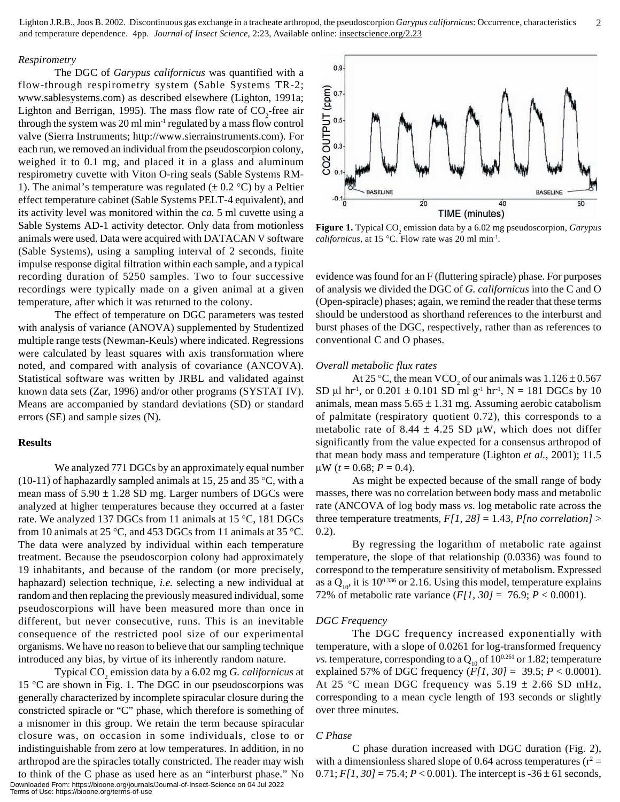#### *Respirometry*

The DGC of *Garypus californicus* was quantified with a flow-through respirometry system (Sable Systems TR-2; www.sablesystems.com) as described elsewhere (Lighton, 1991a; Lighton and Berrigan, 1995). The mass flow rate of  $CO_2$ -free air through the system was 20 ml min-1 regulated by a mass flow control valve (Sierra Instruments; http://www.sierrainstruments.com). For each run, we removed an individual from the pseudoscorpion colony, weighed it to 0.1 mg, and placed it in a glass and aluminum respirometry cuvette with Viton O-ring seals (Sable Systems RM-1). The animal's temperature was regulated  $(\pm 0.2 \degree C)$  by a Peltier effect temperature cabinet (Sable Systems PELT-4 equivalent), and its activity level was monitored within the *ca.* 5 ml cuvette using a Sable Systems AD-1 activity detector. Only data from motionless animals were used. Data were acquired with DATACAN V software (Sable Systems), using a sampling interval of 2 seconds, finite impulse response digital filtration within each sample, and a typical recording duration of 5250 samples. Two to four successive recordings were typically made on a given animal at a given temperature, after which it was returned to the colony.

The effect of temperature on DGC parameters was tested with analysis of variance (ANOVA) supplemented by Studentized multiple range tests (Newman-Keuls) where indicated. Regressions were calculated by least squares with axis transformation where noted, and compared with analysis of covariance (ANCOVA). Statistical software was written by JRBL and validated against known data sets (Zar, 1996) and/or other programs (SYSTAT IV). Means are accompanied by standard deviations (SD) or standard errors (SE) and sample sizes (N).

# **Results**

We analyzed 771 DGCs by an approximately equal number  $(10-11)$  of haphazardly sampled animals at 15, 25 and 35 °C, with a mean mass of  $5.90 \pm 1.28$  SD mg. Larger numbers of DGCs were analyzed at higher temperatures because they occurred at a faster rate. We analyzed 137 DGCs from 11 animals at 15 °C, 181 DGCs from 10 animals at 25 °C, and 453 DGCs from 11 animals at 35 °C. The data were analyzed by individual within each temperature treatment. Because the pseudoscorpion colony had approximately 19 inhabitants, and because of the random (or more precisely, haphazard) selection technique, *i.e.* selecting a new individual at random and then replacing the previously measured individual, some pseudoscorpions will have been measured more than once in different, but never consecutive, runs. This is an inevitable consequence of the restricted pool size of our experimental organisms. We have no reason to believe that our sampling technique introduced any bias, by virtue of its inherently random nature.

Typical CO2 emission data by a 6.02 mg *G. californicus* at 15 °C are shown in Fig. 1. The DGC in our pseudoscorpions was generally characterized by incomplete spiracular closure during the constricted spiracle or "C" phase, which therefore is something of a misnomer in this group. We retain the term because spiracular closure was, on occasion in some individuals, close to or indistinguishable from zero at low temperatures. In addition, in no arthropod are the spiracles totally constricted. The reader may wish

to think of the C phase as used here as an "interburst phase." No Downloaded From: https://bioone.org/journals/Journal-of-Insect-Science on 04 Jul 2022 Terms of Use: https://bioone.org/terms-of-use



**Figure 1.** Typical CO<sub>2</sub> emission data by a 6.02 mg pseudoscorpion, *Garypus californicus*, at 15 °C. Flow rate was 20 ml min<sup>-1</sup>.

evidence was found for an F (fluttering spiracle) phase. For purposes of analysis we divided the DGC of *G. californicus* into the C and O (Open-spiracle) phases; again, we remind the reader that these terms should be understood as shorthand references to the interburst and burst phases of the DGC, respectively, rather than as references to conventional C and O phases.

#### *Overall metabolic flux rates*

At 25 °C, the mean VCO<sub>2</sub> of our animals was  $1.126 \pm 0.567$ SD µl hr<sup>-1</sup>, or  $0.201 \pm 0.101$  SD ml g<sup>-1</sup> hr<sup>-1</sup>, N = 181 DGCs by 10 animals, mean mass  $5.65 \pm 1.31$  mg. Assuming aerobic catabolism of palmitate (respiratory quotient 0.72), this corresponds to a metabolic rate of 8.44  $\pm$  4.25 SD  $\mu$ W, which does not differ significantly from the value expected for a consensus arthropod of that mean body mass and temperature (Lighton *et al.*, 2001); 11.5  $\mu$ W (*t* = 0.68; *P* = 0.4).

As might be expected because of the small range of body masses, there was no correlation between body mass and metabolic rate (ANCOVA of log body mass *vs.* log metabolic rate across the three temperature treatments,  $F[1, 28] = 1.43$ ,  $P[no\, correlation] >$ 0.2).

By regressing the logarithm of metabolic rate against temperature, the slope of that relationship (0.0336) was found to correspond to the temperature sensitivity of metabolism. Expressed as a  $Q_{10}$ , it is 10<sup>0.336</sup> or 2.16. Using this model, temperature explains 72% of metabolic rate variance (*F[1, 30]* = 76.9; *P* < 0.0001).

#### *DGC Frequency*

The DGC frequency increased exponentially with temperature, with a slope of 0.0261 for log-transformed frequency *vs.* temperature, corresponding to a  $Q_{10}$  of  $10^{0.261}$  or 1.82; temperature explained 57% of DGC frequency (*F[1, 30]* = 39.5; *P* < 0.0001). At 25 °C mean DGC frequency was  $5.19 \pm 2.66$  SD mHz, corresponding to a mean cycle length of 193 seconds or slightly over three minutes.

### *C Phase*

C phase duration increased with DGC duration (Fig. 2), with a dimensionless shared slope of 0.64 across temperatures ( $r^2 =$ 0.71;  $F[1, 30] = 75.4$ ;  $P < 0.001$ ). The intercept is  $-36 \pm 61$  seconds,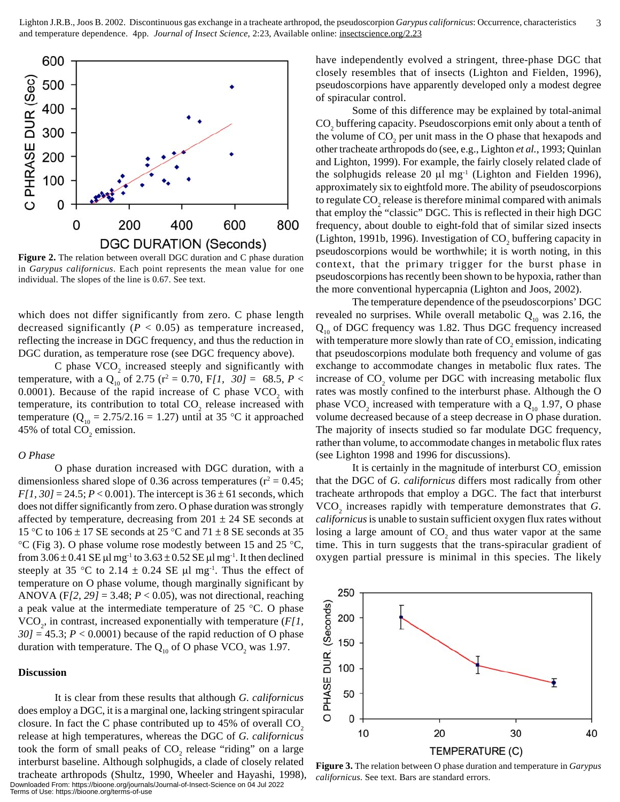

**Figure 2.** The relation between overall DGC duration and C phase duration in *Garypus californicus*. Each point represents the mean value for one individual. The slopes of the line is 0.67. See text.

which does not differ significantly from zero. C phase length decreased significantly  $(P < 0.05)$  as temperature increased, reflecting the increase in DGC frequency, and thus the reduction in DGC duration, as temperature rose (see DGC frequency above).

C phase  $VCO_2$  increased steeply and significantly with temperature, with a  $Q_{10}$  of 2.75 ( $r^2 = 0.70$ ,  $F/I$ ,  $30J = 68.5$ ,  $P <$ 0.0001). Because of the rapid increase of C phase  $VCO_2$  with temperature, its contribution to total  $CO_2$  release increased with temperature ( $Q_{10} = 2.75/2.16 = 1.27$ ) until at 35 °C it approached 45% of total  $CO_2$  emission.

#### *O Phase*

O phase duration increased with DGC duration, with a dimensionless shared slope of 0.36 across temperatures ( $r^2 = 0.45$ ; *F[1, 30]* = 24.5; *P* < 0.001). The intercept is  $36 \pm 61$  seconds, which does not differ significantly from zero. O phase duration was strongly affected by temperature, decreasing from  $201 \pm 24$  SE seconds at 15 °C to 106  $\pm$  17 SE seconds at 25 °C and 71  $\pm$  8 SE seconds at 35 °C (Fig 3). O phase volume rose modestly between 15 and 25 °C, from  $3.06 \pm 0.41$  SE µl mg<sup>-1</sup> to  $3.63 \pm 0.52$  SE µl mg<sup>-1</sup>. It then declined steeply at 35 °C to 2.14  $\pm$  0.24 SE µl mg<sup>-1</sup>. Thus the effect of temperature on O phase volume, though marginally significant by ANOVA (F*[2, 29]* = 3.48; *P* < 0.05), was not directional, reaching a peak value at the intermediate temperature of 25 °C. O phase  $VCO<sub>2</sub>$ , in contrast, increased exponentially with temperature ( $F/I$ ,  $30$ ] = 45.3;  $P < 0.0001$ ) because of the rapid reduction of O phase duration with temperature. The  $Q_{10}$  of O phase VCO<sub>2</sub> was 1.97.

#### **Discussion**

It is clear from these results that although *G. californicus* does employ a DGC, it is a marginal one, lacking stringent spiracular closure. In fact the C phase contributed up to 45% of overall  $CO<sub>2</sub>$ release at high temperatures, whereas the DGC of *G. californicus* took the form of small peaks of  $CO_2$  release "riding" on a large interburst baseline. Although solphugids, a clade of closely related tracheate arthropods (Shultz, 1990, Wheeler and Hayashi, 1998),

Downloaded From: https://bioone.org/journals/Journal-of-Insect-Science on 04 Jul 2022 Terms of Use: https://bioone.org/terms-of-use

have independently evolved a stringent, three-phase DGC that closely resembles that of insects (Lighton and Fielden, 1996), pseudoscorpions have apparently developed only a modest degree of spiracular control.

Some of this difference may be explained by total-animal  $\mathrm{CO}_2$  buffering capacity. Pseudoscorpions emit only about a tenth of the volume of  $CO<sub>2</sub>$  per unit mass in the O phase that hexapods and other tracheate arthropods do (see, e.g., Lighton *et al.*, 1993; Quinlan and Lighton, 1999). For example, the fairly closely related clade of the solphugids release 20  $\mu$ l mg<sup>-1</sup> (Lighton and Fielden 1996), approximately six to eightfold more. The ability of pseudoscorpions to regulate  $\mathrm{CO}_2$  release is therefore minimal compared with animals that employ the "classic" DGC. This is reflected in their high DGC frequency, about double to eight-fold that of similar sized insects (Lighton, 1991b, 1996). Investigation of  $\mathrm{CO}_2$  buffering capacity in pseudoscorpions would be worthwhile; it is worth noting, in this context, that the primary trigger for the burst phase in pseudoscorpions has recently been shown to be hypoxia, rather than the more conventional hypercapnia (Lighton and Joos, 2002).

The temperature dependence of the pseudoscorpions' DGC revealed no surprises. While overall metabolic  $Q_{10}$  was 2.16, the  $Q_{10}$  of DGC frequency was 1.82. Thus DGC frequency increased with temperature more slowly than rate of  $\mathrm{CO}_2$  emission, indicating that pseudoscorpions modulate both frequency and volume of gas exchange to accommodate changes in metabolic flux rates. The increase of  $CO_2$  volume per DGC with increasing metabolic flux rates was mostly confined to the interburst phase. Although the O phase  $VCO_2$  increased with temperature with a  $Q_{10}$  1.97, O phase volume decreased because of a steep decrease in O phase duration. The majority of insects studied so far modulate DGC frequency, rather than volume, to accommodate changes in metabolic flux rates (see Lighton 1998 and 1996 for discussions).

It is certainly in the magnitude of interburst  $CO_2$  emission that the DGC of *G. californicus* differs most radically from other tracheate arthropods that employ a DGC. The fact that interburst VCO<sub>2</sub> increases rapidly with temperature demonstrates that *G*. *californicus* is unable to sustain sufficient oxygen flux rates without losing a large amount of  $CO<sub>2</sub>$  and thus water vapor at the same time. This in turn suggests that the trans-spiracular gradient of oxygen partial pressure is minimal in this species. The likely



**Figure 3.** The relation between O phase duration and temperature in *Garypus californicus*. See text. Bars are standard errors.